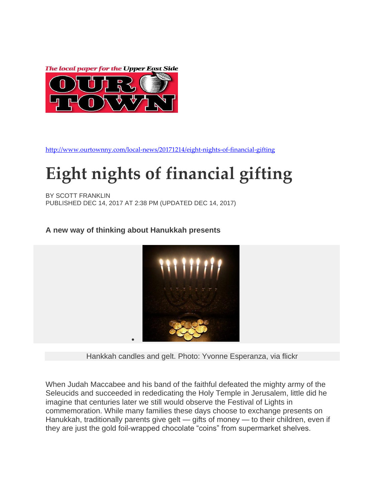



<http://www.ourtownny.com/local-news/20171214/eight-nights-of-financial-gifting>

## **Eight nights of financial gifting**

BY SCOTT FRANKLIN PUBLISHED DEC 14, 2017 AT 2:38 PM (UPDATED DEC 14, 2017)

A new way of thinking about Hanukkah presents



Hankkah candles and gelt. Photo: Yvonne Esperanza, via flickr

When Judah Maccabee and his band of the faithful defeated the mighty army of the Seleucids and succeeded in rededicating the Holy Temple in Jerusalem, little did he imagine that centuries later we still would observe the Festival of Lights in commemoration. While many families these days choose to exchange presents on Hanukkah, traditionally parents give gelt — gifts of money — to their children, even if they are just the gold foil-wrapped chocolate "coins" from supermarket shelves.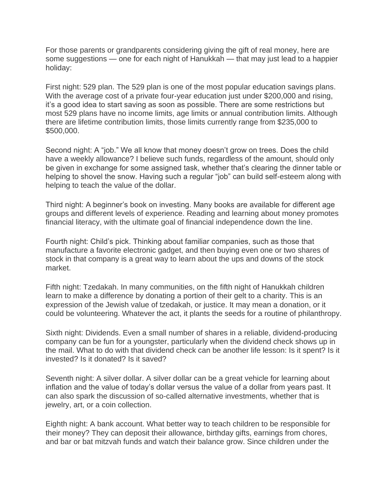For those parents or grandparents considering giving the gift of real money, here are some suggestions — one for each night of Hanukkah — that may just lead to a happier holiday:

First night: 529 plan. The 529 plan is one of the most popular education savings plans. With the average cost of a private four-year education just under \$200,000 and rising, it's a good idea to start saving as soon as possible. There are some restrictions but most 529 plans have no income limits, age limits or annual contribution limits. Although there are lifetime contribution limits, those limits currently range from \$235,000 to \$500,000.

Second night: A "job." We all know that money doesn't grow on trees. Does the child have a weekly allowance? I believe such funds, regardless of the amount, should only be given in exchange for some assigned task, whether that's clearing the dinner table or helping to shovel the snow. Having such a regular "job" can build self-esteem along with helping to teach the value of the dollar.

Third night: A beginner's book on investing. Many books are available for different age groups and different levels of experience. Reading and learning about money promotes financial literacy, with the ultimate goal of financial independence down the line.

Fourth night: Child's pick. Thinking about familiar companies, such as those that manufacture a favorite electronic gadget, and then buying even one or two shares of stock in that company is a great way to learn about the ups and downs of the stock market.

Fifth night: Tzedakah. In many communities, on the fifth night of Hanukkah children learn to make a difference by donating a portion of their gelt to a charity. This is an expression of the Jewish value of tzedakah, or justice. It may mean a donation, or it could be volunteering. Whatever the act, it plants the seeds for a routine of philanthropy.

Sixth night: Dividends. Even a small number of shares in a reliable, dividend-producing company can be fun for a youngster, particularly when the dividend check shows up in the mail. What to do with that dividend check can be another life lesson: Is it spent? Is it invested? Is it donated? Is it saved?

Seventh night: A silver dollar. A silver dollar can be a great vehicle for learning about inflation and the value of today's dollar versus the value of a dollar from years past. It can also spark the discussion of so-called alternative investments, whether that is jewelry, art, or a coin collection.

Eighth night: A bank account. What better way to teach children to be responsible for their money? They can deposit their allowance, birthday gifts, earnings from chores, and bar or bat mitzvah funds and watch their balance grow. Since children under the